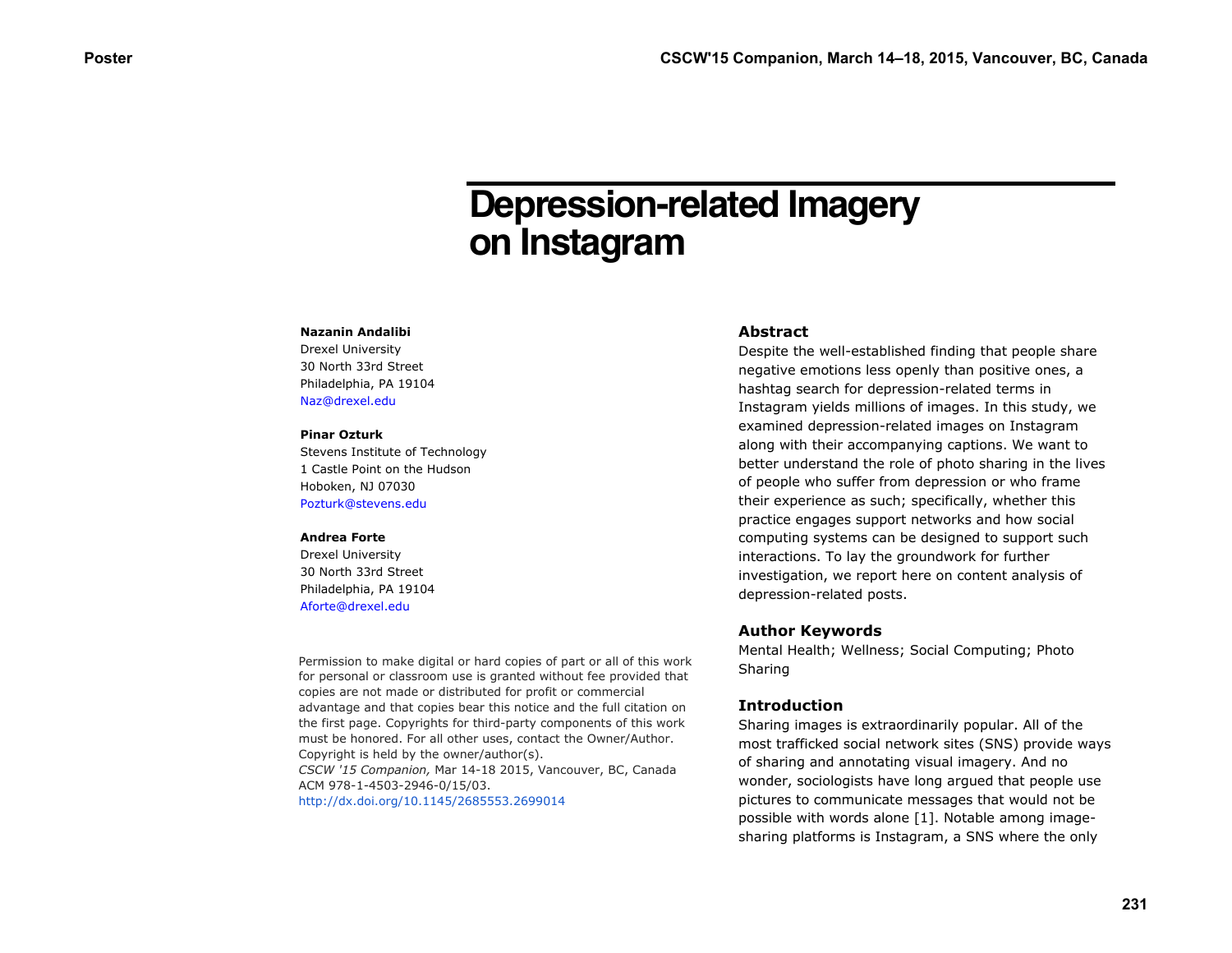# **Depression-related Imagery on Instagram**

#### **Nazanin Andalibi**

Drexel University 30 North 33rd Street Philadelphia, PA 19104 Naz@drexel.edu

#### **Pinar Ozturk**

Stevens Institute of Technology 1 Castle Point on the Hudson Hoboken, NJ 07030 Pozturk@stevens.edu

#### **Andrea Forte**

Drexel University 30 North 33rd Street Philadelphia, PA 19104 Aforte@drexel.edu

Permission to make digital or hard copies of part or all of this work for personal or classroom use is granted without fee provided that copies are not made or distributed for profit or commercial advantage and that copies bear this notice and the full citation on the first page. Copyrights for third-party components of this work must be honored. For all other uses, contact the Owner/Author. Copyright is held by the owner/author(s). *CSCW '15 Companion,* Mar 14-18 2015, Vancouver, BC, Canada ACM 978-1-4503-2946-0/15/03. http://dx.doi.org/10.1145/2685553.2699014

#### **Abstract**

Despite the well-established finding that people share negative emotions less openly than positive ones, a hashtag search for depression-related terms in Instagram yields millions of images. In this study, we examined depression-related images on Instagram along with their accompanying captions. We want to better understand the role of photo sharing in the lives of people who suffer from depression or who frame their experience as such; specifically, whether this practice engages support networks and how social computing systems can be designed to support such interactions. To lay the groundwork for further investigation, we report here on content analysis of depression-related posts.

## **Author Keywords**

Mental Health; Wellness; Social Computing; Photo Sharing

## **Introduction**

Sharing images is extraordinarily popular. All of the most trafficked social network sites (SNS) provide ways of sharing and annotating visual imagery. And no wonder, sociologists have long argued that people use pictures to communicate messages that would not be possible with words alone [1]. Notable among imagesharing platforms is Instagram, a SNS where the only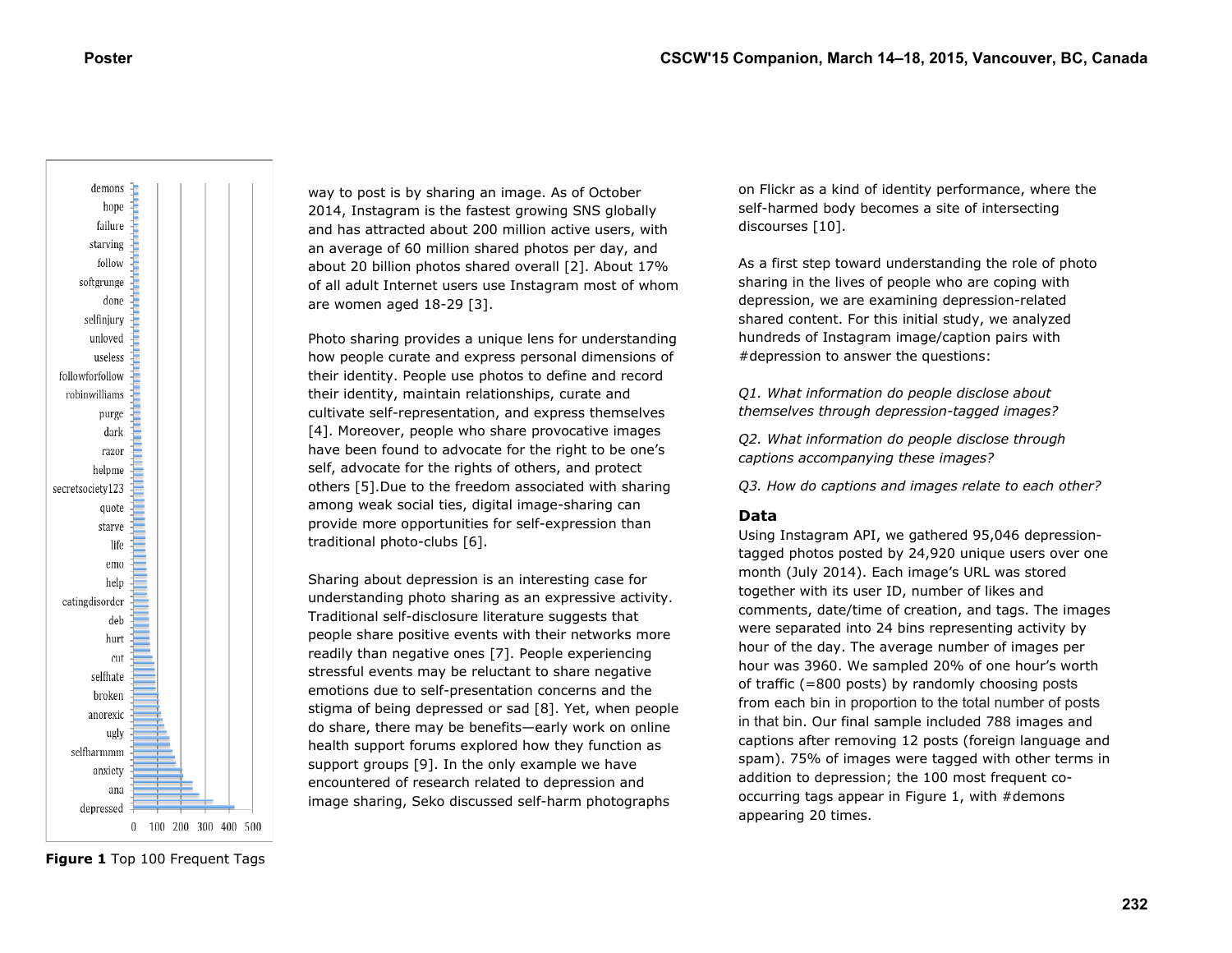

way to post is by sharing an image. As of October 2014, Instagram is the fastest growing SNS globally and has attracted about 200 million active users, with an average of 60 million shared photos per day, and about 20 billion photos shared overall [2]. About 17% of all adult Internet users use Instagram most of whom are women aged 18-29 [3].

Photo sharing provides a unique lens for understanding how people curate and express personal dimensions of their identity. People use photos to define and record their identity, maintain relationships, curate and cultivate self-representation, and express themselves [4]. Moreover, people who share provocative images have been found to advocate for the right to be one's self, advocate for the rights of others, and protect others [5].Due to the freedom associated with sharing among weak social ties, digital image-sharing can provide more opportunities for self-expression than traditional photo-clubs [6].

Sharing about depression is an interesting case for understanding photo sharing as an expressive activity. Traditional self-disclosure literature suggests that people share positive events with their networks more readily than negative ones [7]. People experiencing stressful events may be reluctant to share negative emotions due to self-presentation concerns and the stigma of being depressed or sad [8]. Yet, when people do share, there may be benefits—early work on online health support forums explored how they function as support groups [9]. In the only example we have encountered of research related to depression and image sharing, Seko discussed self-harm photographs

on Flickr as a kind of identity performance, where the self-harmed body becomes a site of intersecting discourses [10].

As a first step toward understanding the role of photo sharing in the lives of people who are coping with depression, we are examining depression-related shared content. For this initial study, we analyzed hundreds of Instagram image/caption pairs with #depression to answer the questions:

*Q1. What information do people disclose about themselves through depression-tagged images?* 

*Q2. What information do people disclose through captions accompanying these images?* 

*Q3. How do captions and images relate to each other?*

# **Data**

Using Instagram API, we gathered 95,046 depressiontagged photos posted by 24,920 unique users over one month (July 2014). Each image's URL was stored together with its user ID, number of likes and comments, date/time of creation, and tags. The images were separated into 24 bins representing activity by hour of the day. The average number of images per hour was 3960. We sampled 20% of one hour's worth of traffic (=800 posts) by randomly choosing posts from each bin in proportion to the total number of posts in that bin. Our final sample included 788 images and captions after removing 12 posts (foreign language and spam). 75% of images were tagged with other terms in addition to depression; the 100 most frequent cooccurring tags appear in Figure 1, with #demons appearing 20 times.

**Figure 1** Top 100 Frequent Tags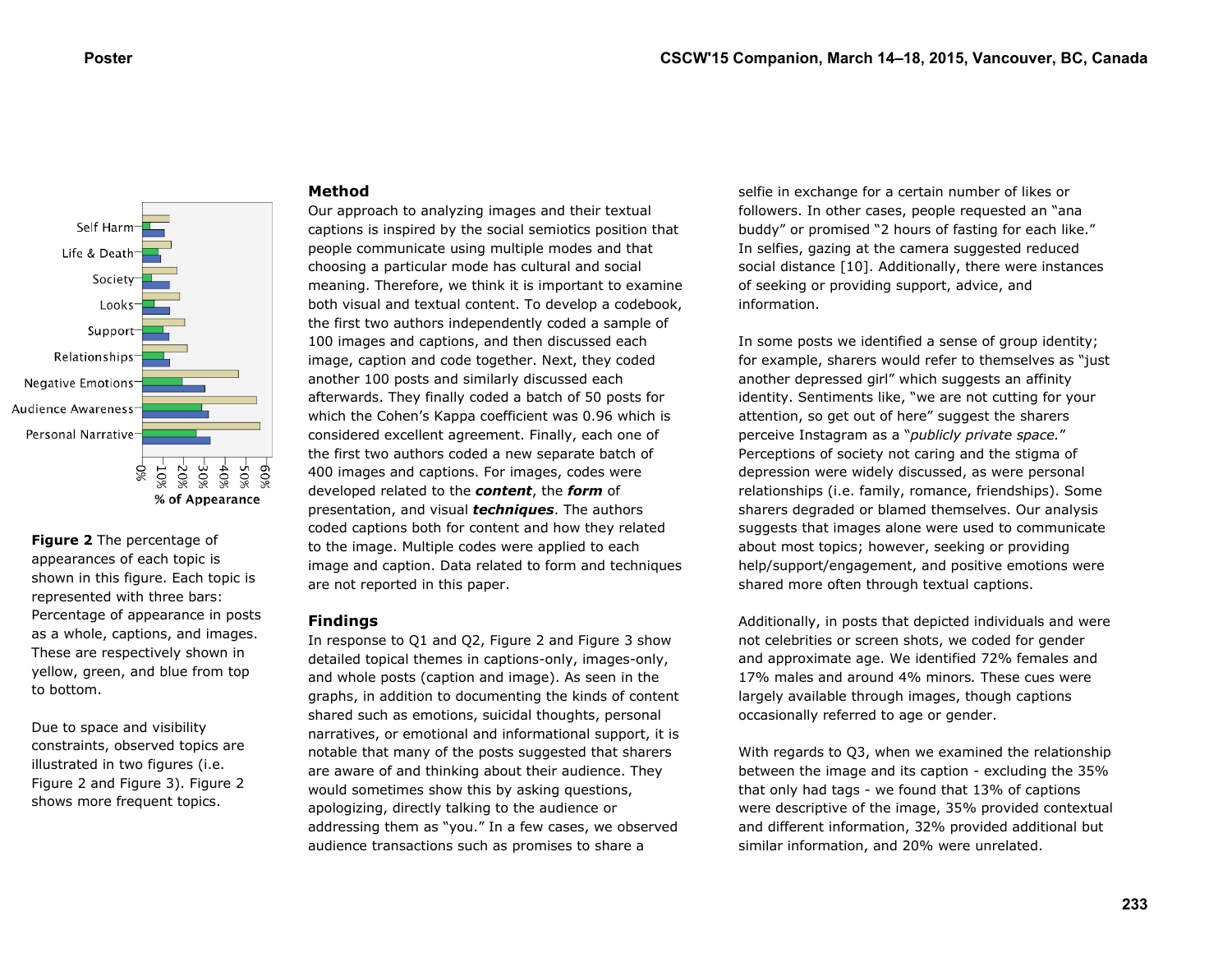

**Figure 2** The percentage of appearances of each topic is shown in this figure. Each topic is represented with three bars: Percentage of appearance in posts as a whole, captions, and images. These are respectively shown in yellow, green, and blue from top to bottom.

Due to space and visibility constraints, observed topics are illustrated in two figures (i.e. Figure 2 and Figure 3). Figure 2 shows more frequent topics.

## **Method**

Our approach to analyzing images and their textual captions is inspired by the social semiotics position that people communicate using multiple modes and that choosing a particular mode has cultural and social meaning. Therefore, we think it is important to examine both visual and textual content. To develop a codebook, the first two authors independently coded a sample of 100 images and captions, and then discussed each image, caption and code together. Next, they coded another 100 posts and similarly discussed each afterwards. They finally coded a batch of 50 posts for which the Cohen's Kappa coefficient was 0.96 which is considered excellent agreement. Finally, each one of the first two authors coded a new separate batch of 400 images and captions. For images, codes were developed related to the *content*, the *form* of presentation, and visual *techniques*. The authors coded captions both for content and how they related to the image. Multiple codes were applied to each image and caption. Data related to form and techniques are not reported in this paper.

## **Findings**

In response to Q1 and Q2, Figure 2 and Figure 3 show detailed topical themes in captions-only, images-only, and whole posts (caption and image). As seen in the graphs, in addition to documenting the kinds of content shared such as emotions, suicidal thoughts, personal narratives, or emotional and informational support, it is notable that many of the posts suggested that sharers are aware of and thinking about their audience. They would sometimes show this by asking questions, apologizing, directly talking to the audience or addressing them as "you." In a few cases, we observed audience transactions such as promises to share a

selfie in exchange for a certain number of likes or followers. In other cases, people requested an "ana buddy" or promised "2 hours of fasting for each like." In selfies, gazing at the camera suggested reduced social distance [10]. Additionally, there were instances of seeking or providing support, advice, and information.

In some posts we identified a sense of group identity; for example, sharers would refer to themselves as "just another depressed girl" which suggests an affinity identity. Sentiments like, "we are not cutting for your attention, so get out of here" suggest the sharers perceive Instagram as a "*publicly private space.*" Perceptions of society not caring and the stigma of depression were widely discussed, as were personal relationships (i.e. family, romance, friendships). Some sharers degraded or blamed themselves. Our analysis suggests that images alone were used to communicate about most topics; however, seeking or providing help/support/engagement, and positive emotions were shared more often through textual captions.

Additionally, in posts that depicted individuals and were not celebrities or screen shots, we coded for gender and approximate age. We identified 72% females and 17% males and around 4% minors*.* These cues were largely available through images, though captions occasionally referred to age or gender.

With regards to Q3, when we examined the relationship between the image and its caption - excluding the 35% that only had tags - we found that 13% of captions were descriptive of the image, 35% provided contextual and different information, 32% provided additional but similar information, and 20% were unrelated.